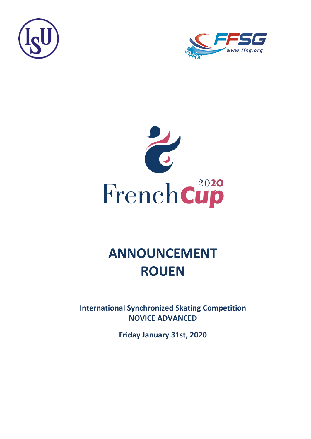





# **ANNOUNCEMENT ROUEN**

**International Synchronized Skating Competition NOVICE ADVANCED**

**Friday January 31st, 2020**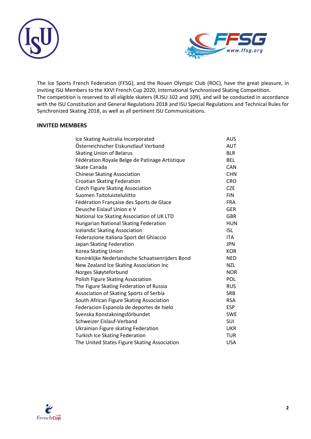



The Ice Sports French Federation (FFSG), and the Rouen Olympic Club (ROC), have the great pleasure, in inviting ISU Members to the XXVI French Cup 2020, International Synchronized Skating Competition. The competition is reserved to all eligible skaters (R.ISU 102 and 109), and will be conducted in accordance with the ISU Constitution and General Regulations 2018 and ISU Special Regulations and Technical Rules for Synchronized Skating 2018, as well as all pertinent ISU Communications.

#### **INVITED MEMBERS**

| Ice Skating Australia Incorporated              | <b>AUS</b> |
|-------------------------------------------------|------------|
| Österreichischer Eiskunstlauf Verband           | AUT        |
| <b>Skating Union of Belarus</b>                 | <b>BLR</b> |
| Fédération Royale Belge de Patinage Artistique  | <b>BEL</b> |
| Skate Canada                                    | <b>CAN</b> |
| <b>Chinese Skating Association</b>              | <b>CHN</b> |
| <b>Croatian Skating Federation</b>              | <b>CRO</b> |
| <b>Czech Figure Skating Association</b>         | <b>CZE</b> |
| Suomen Taitoluisteluliitto                      | <b>FIN</b> |
| Fédération Française des Sports de Glace        | <b>FRA</b> |
| Deusche Eislauf Union e V                       | <b>GER</b> |
| National Ice Skating Association of UK LTD      | <b>GBR</b> |
| Hungarian National Skating Federation           | <b>HUN</b> |
| <b>Icelandic Skating Association</b>            | <b>ISL</b> |
| Federazione Italiana Sport del Ghiaccio         | <b>ITA</b> |
| Japan Skating Federation                        | <b>JPN</b> |
| Korea Skating Union                             | <b>KOR</b> |
| Koninklijke Nederlandsche Schaatsenrijders Bond | <b>NED</b> |
| New Zealand Ice Skating Association Inc         | <b>NZL</b> |
| Norges Skøyteforbund                            | <b>NOR</b> |
| Polish Figure Skating Association               | POL        |
| The Figure Skating Federation of Russia         | <b>RUS</b> |
| Association of Skating Sports of Serbia         | <b>SRB</b> |
| South African Figure Skating Association        | <b>RSA</b> |
| Federacion Espanola de deportes de hielo        | <b>ESP</b> |
| Svenska Konstakningsförbundet                   | <b>SWE</b> |
| Schweizer Eislauf-Verband                       | <b>SUI</b> |
| Ukrainian Figure skating Federation             | <b>UKR</b> |
| <b>Turkish Ice Skating Federation</b>           | <b>TUR</b> |
| The United States Figure Skating Association    | <b>USA</b> |

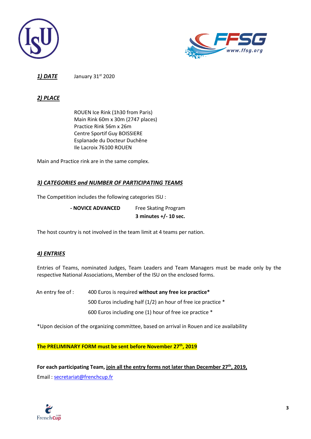



**1) DATE** January 31<sup>st</sup> 2020

### *2) PLACE*

ROUEN Ice Rink (1h30 from Paris) Main Rink 60m x 30m (2747 places) Practice Rink 56m x 26m Centre Sportif Guy BOISSIERE Esplanade du Docteur Duchêne Ile Lacroix 76100 ROUEN

Main and Practice rink are in the same complex.

## *3) CATEGORIES and NUMBER OF PARTICIPATING TEAMS*

The Competition includes the following categories ISU :

**- NOVICE ADVANCED** Free Skating Program

**3 minutes +/- 10 sec.**

The host country is not involved in the team limit at 4 teams per nation.

## *4) ENTRIES*

Entries of Teams, nominated Judges, Team Leaders and Team Managers must be made only by the respective National Associations, Member of the ISU on the enclosed forms.

An entry fee of : 400 Euros is required **without any free ice practice\*** 500 Euros including half (1/2) an hour of free ice practice \* 600 Euros including one (1) hour of free ice practice \*

\*Upon decision of the organizing committee, based on arrival in Rouen and ice availability

**The PRELIMINARY FORM must be sent before November 27th , 2019**

**For each participating Team, join all the entry forms not later than December 27th, 2019,** Email : [secretariat@frenchcup.fr](mailto:secretariat@frenchcup.fr)

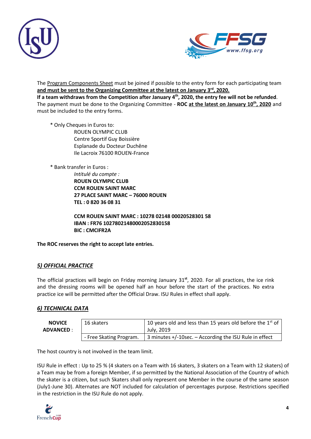



The Program Components Sheet must be joined if possible to the entry form for each participating team **and must be sent to the Organizing Committee at the latest on January 3 rd, 2020.**

If a team withdraws from the Competition after January 4<sup>th</sup>, 2020, the entry fee will not be refunded. The payment must be done to the Organizing Committee - **ROC at the latest on January 10th, 2020** and must be included to the entry forms.

 \* Only Cheques in Euros to: ROUEN OLYMPIC CLUB Centre Sportif Guy Boissière Esplanade du Docteur Duchêne Ile Lacroix 76100 ROUEN-France

\* Bank transfer in Euros :

*Intitulé du compte :* **ROUEN OLYMPIC CLUB CCM ROUEN SAINT MARC 27 PLACE SAINT MARC – 76000 ROUEN TEL : 0 820 36 08 31**

**CCM ROUEN SAINT MARC : 10278 02148 00020528301 58 IBAN : FR76 10278021480002052830158 BIC : CMCIFR2A**

**The ROC reserves the right to accept late entries.**

## *5) OFFICIAL PRACTICE*

The official practices will begin on Friday morning January 31 **st**, 2020. For all practices, the ice rink and the dressing rooms will be opened half an hour before the start of the practices. No extra practice ice will be permitted after the Official Draw. ISU Rules in effect shall apply.

## *6) TECHNICAL DATA*

| <b>NOVICE</b><br><b>ADVANCED :</b> | 16 skaters              | 10 years old and less than 15 years old before the $1st$ of<br>July. 2019 |
|------------------------------------|-------------------------|---------------------------------------------------------------------------|
|                                    | - Free Skating Program. | 3 minutes $+/-10$ sec. $-$ According the ISU Rule in effect               |

The host country is not involved in the team limit.

ISU Rule in effect : Up to 25 % (4 skaters on a Team with 16 skaters, 3 skaters on a Team with 12 skaters) of a Team may be from a foreign Member, if so permitted by the National Association of the Country of which the skater is a citizen, but such Skaters shall only represent one Member in the course of the same season (July1-June 30). Alternates are NOT included for calculation of percentages purpose. Restrictions specified in the restriction in the ISU Rule do not apply.

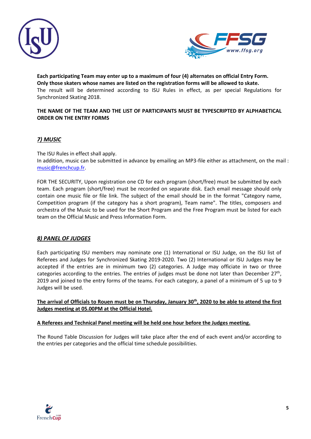



**Each participating Team may enter up to a maximum of four (4) alternates on official Entry Form. Only those skaters whose names are listed on the registration forms will be allowed to skate.** The result will be determined according to ISU Rules in effect, as per special Regulations for Synchronized Skating 2018.

#### **THE NAME OF THE TEAM AND THE LIST OF PARTICIPANTS MUST BE TYPESCRIPTED BY ALPHABETICAL ORDER ON THE ENTRY FORMS**

## *7) MUSIC*

The ISU Rules in effect shall apply.

In addition, music can be submitted in advance by emailing an MP3-file either as attachment, on the mail : [music@frenchcup.fr.](mailto:music@frenchcup.fr)

FOR THE SECURITY, Upon registration one CD for each program (short/free) must be submitted by each team. Each program (short/free) must be recorded on separate disk. Each email message should only contain one music file or file link. The subject of the email should be in the format "Category name, Competition program (if the category has a short program), Team name". The titles, composers and orchestra of the Music to be used for the Short Program and the Free Program must be listed for each team on the Official Music and Press Information Form.

## *8) PANEL OF JUDGES*

Each participating ISU members may nominate one (1) International or ISU Judge, on the ISU list of Referees and Judges for Synchronized Skating 2019-2020. Two (2) International or ISU Judges may be accepted if the entries are in minimum two (2) categories. A Judge may officiate in two or three categories according to the entries. The entries of judges must be done not later than December  $27<sup>th</sup>$ , 2019 and joined to the entry forms of the teams. For each category, a panel of a minimum of 5 up to 9 Judges will be used.

**The arrival of Officials to Rouen must be on Thursday, January 30 th, 2020 to be able to attend the first Judges meeting at 05.00PM at the Official Hotel.**

#### **A Referees and Technical Panel meeting will be held one hour before the Judges meeting.**

The Round Table Discussion for Judges will take place after the end of each event and/or according to the entries per categories and the official time schedule possibilities.

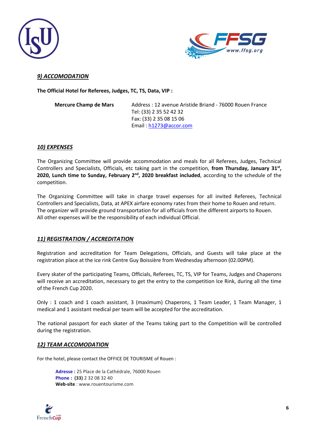



## *9) ACCOMODATION*

**The Official Hotel for Referees, Judges, TC, TS, Data, VIP :**

**Mercure Champ de Mars** Address : 12 avenue Aristide Briand - 76000 Rouen France Tel: (33) 2 35 52 42 32 Fax: (33) 2 35 08 15 06 Email : [h1273@accor.com](mailto:h1273@accor.com)

#### *10) EXPENSES*

The Organizing Committee will provide accommodation and meals for all Referees, Judges, Technical Controllers and Specialists, Officials, etc taking part in the competition, **from Thursday, January 31st ,**  2020, Lunch time to Sunday, February 2<sup>nd</sup>, 2020 breakfast included, according to the schedule of the competition.

The Organizing Committee will take in charge travel expenses for all invited Referees, Technical Controllers and Specialists, Data, at APEX airfare economy rates from their home to Rouen and return. The organizer will provide ground transportation for all officials from the different airports to Rouen. All other expenses will be the responsibility of each individual Official.

#### *11) REGISTRATION / ACCREDITATION*

Registration and accreditation for Team Delegations, Officials, and Guests will take place at the registration place at the ice rink Centre Guy Boissière from Wednesday afternoon (02.00PM).

Every skater of the participating Teams, Officials, Referees, TC, TS, VIP for Teams, Judges and Chaperons will receive an accreditation, necessary to get the entry to the competition Ice Rink, during all the time of the French Cup 2020.

Only : 1 coach and 1 coach assistant, 3 (maximum) Chaperons, 1 Team Leader, 1 Team Manager, 1 medical and 1 assistant medical per team will be accepted for the accreditation.

The national passport for each skater of the Teams taking part to the Competition will be controlled during the registration.

#### *12) TEAM ACCOMODATION*

For the hotel, please contact the OFFICE DE TOURISME of Rouen :

**[Adresse](https://www.google.com/search?client=safari&rls=en&q=office+de+tourisme+de+rouen+adresse&stick=H4sIAAAAAAAAAOPgE-LWT9c3LM8wSTMxNdKSzU620s_JT04syczPgzOsElNSilKLixexKuenpWUmpyqkpCqU5JcWZRbngtlF-aWpeQqJYEWpADbCWstUAAAA&ludocid=2890988955949065790&sa=X&ved=2ahUKEwivkODg9YDlAhUDqxoKHVejCBQQ6BMwEHoECBAQAw) :** 25 Place de la Cathédrale, 76000 Rouen **[Phone](https://www.google.com/search?client=safari&rls=en&q=office+de+tourisme+de+rouen+t%C3%A9l%C3%A9phone&ludocid=2890988955949065790&sa=X&ved=2ahUKEwivkODg9YDlAhUDqxoKHVejCBQQ6BMwEnoECBAQDg) : (33)** 2 32 08 32 40 **Web-site** : www.rouentourisme.com

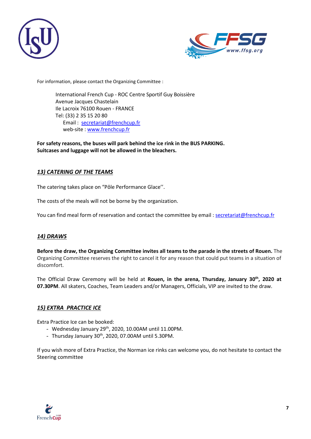



For information, please contact the Organizing Committee :

International French Cup - ROC Centre Sportif Guy Boissière Avenue Jacques Chastelain Ile Lacroix 76100 Rouen - FRANCE Tel: (33) 2 35 15 20 80 Email : [secretariat@frenchcup.fr](mailto:secretariat@frenchcup.fr) web-site : [www.frenchcup.fr](http://www.frenchcup.fr/)

**For safety reasons, the buses will park behind the ice rink in the BUS PARKING. Suitcases and luggage will not be allowed in the bleachers.**

## *13) CATERING OF THE TEAMS*

The catering takes place on "Pôle Performance Glace''.

The costs of the meals will not be borne by the organization.

You can find meal form of reservation and contact the committee by email : [secretariat@frenchcup.fr](mailto:secretariat@frenchcup.fr)

## *14) DRAWS*

**Before the draw, the Organizing Committee invites all teams to the parade in the streets of Rouen.** The Organizing Committee reserves the right to cancel it for any reason that could put teams in a situation of discomfort.

The Official Draw Ceremony will be held at **Rouen, in the arena, Thursday, January 30 th, 2020 at 07.30PM**. All skaters, Coaches, Team Leaders and/or Managers, Officials, VIP are invited to the draw.

#### *15) EXTRA PRACTICE ICE*

Extra Practice Ice can be booked:

- Wednesday January  $29^{th}$ , 2020, 10.00AM until 11.00PM.
- Thursday January 30<sup>th</sup>, 2020, 07.00AM until 5.30PM.

If you wish more of Extra Practice, the Norman ice rinks can welcome you, do not hesitate to contact the Steering committee

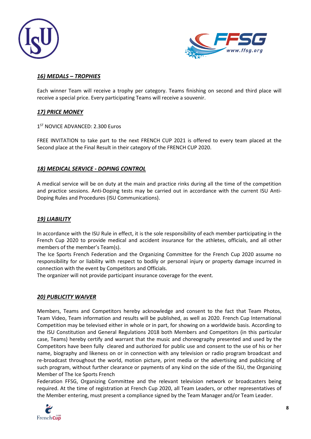



## *16) MEDALS – TROPHIES*

Each winner Team will receive a trophy per category. Teams finishing on second and third place will receive a special price. Every participating Teams will receive a souvenir.

#### *17) PRICE MONEY*

#### 1 ST NOVICE ADVANCED: 2.300 Euros

FREE INVITATION to take part to the next FRENCH CUP 2021 is offered to every team placed at the Second place at the Final Result in their category of the FRENCH CUP 2020.

#### *18) MEDICAL SERVICE - DOPING CONTROL*

A medical service will be on duty at the main and practice rinks during all the time of the competition and practice sessions. Anti-Doping tests may be carried out in accordance with the current ISU Anti-Doping Rules and Procedures (ISU Communications).

#### *19) LIABILITY*

In accordance with the ISU Rule in effect, it is the sole responsibility of each member participating in the French Cup 2020 to provide medical and accident insurance for the athletes, officials, and all other members of the member's Team(s).

The Ice Sports French Federation and the Organizing Committee for the French Cup 2020 assume no responsibility for or liability with respect to bodily or personal injury or property damage incurred in connection with the event by Competitors and Officials.

The organizer will not provide participant insurance coverage for the event.

#### *20) PUBLICITY WAIVER*

Members, Teams and Competitors hereby acknowledge and consent to the fact that Team Photos, Team Video, Team information and results will be published, as well as 2020. French Cup International Competition may be televised either in whole or in part, for showing on a worldwide basis. According to the ISU Constitution and General Regulations 2018 both Members and Competitors (in this particular case, Teams) hereby certify and warrant that the music and choreography presented and used by the Competitors have been fully cleared and authorized for public use and consent to the use of his or her name, biography and likeness on or in connection with any television or radio program broadcast and re-broadcast throughout the world, motion picture, print media or the advertising and publicizing of such program, without further clearance or payments of any kind on the side of the ISU, the Organizing Member of The Ice Sports French

Federation FFSG, Organizing Committee and the relevant television network or broadcasters being required. At the time of registration at French Cup 2020, all Team Leaders, or other representatives of the Member entering, must present a compliance signed by the Team Manager and/or Team Leader.

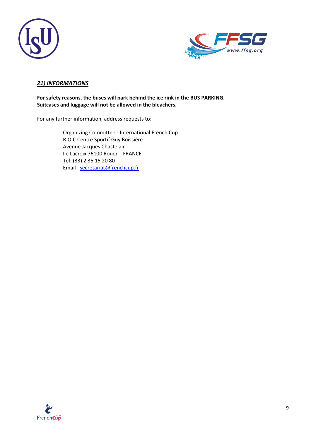



## *21) INFORMATIONS*

**For safety reasons, the buses will park behind the ice rink in the BUS PARKING. Suitcases and luggage will not be allowed in the bleachers.**

For any further information, address requests to:

Organizing Committee - International French Cup R.O.C Centre Sportif Guy Boissière Avenue Jacques Chastelain Ile Lacroix 76100 Rouen - FRANCE Tel: (33) 2 35 15 20 80 Email : [secretariat@frenchcup.fr](mailto:secretariat@frenchcup.fr)

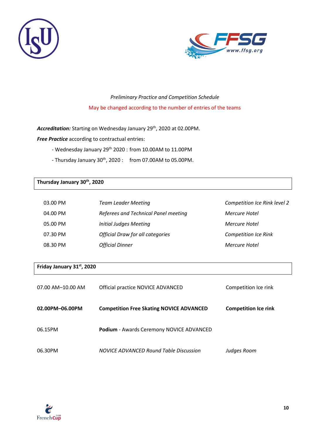



## *Preliminary Practice and Competition Schedule* May be changed according to the number of entries of the teams

Accreditation: Starting on Wednesday January 29<sup>th</sup>, 2020 at 02.00PM.

*Free Practice* according to contractual entries:

- Wednesday January 29<sup>th</sup> 2020 : from 10.00AM to 11.00PM
- Thursday January 30<sup>th</sup>, 2020 : from 07.00AM to 05.00PM.

#### **Thursday January 30 th , 2020**

| 03.00 PM | <b>Team Leader Meeting</b>              | Competition Ice Rink level 2 |
|----------|-----------------------------------------|------------------------------|
| 04.00 PM | Referees and Technical Panel meeting    | Mercure Hotel                |
| 05.00 PM | Initial Judges Meeting                  | Mercure Hotel                |
| 07.30 PM | <b>Official Draw for all categories</b> | <b>Competition Ice Rink</b>  |
| 08.30 PM | <b>Official Dinner</b>                  | Mercure Hotel                |

#### **Friday January 31 st, 2020**

| 07.00 AM-10.00 AM | Official practice NOVICE ADVANCED               | Competition Ice rink        |
|-------------------|-------------------------------------------------|-----------------------------|
| 02.00PM-06.00PM   | <b>Competition Free Skating NOVICE ADVANCED</b> | <b>Competition Ice rink</b> |
| 06.15PM           | <b>Podium</b> - Awards Ceremony NOVICE ADVANCED |                             |
| 06.30PM           | NOVICE ADVANCED Round Table Discussion          | Judges Room                 |